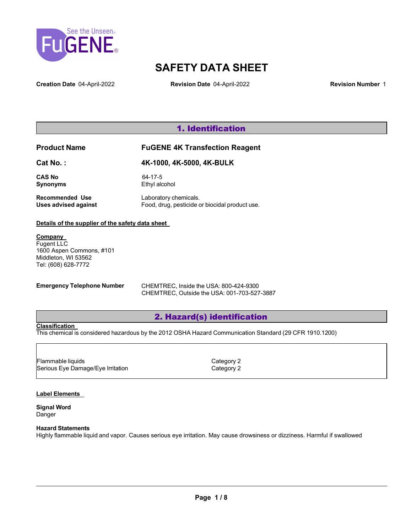

# SAFETY DATA SHEET

Creation Date 04-April-2022 Revision Date 04-April-2022 Revision Number 1

## 1. Identification

#### Product Name FuGENE 4K Transfection Reagent

Cat No. : 4K-1000, 4K-5000, 4K-BULK

 $\mathsf{CAS}$  No  $\mathsf{64-17-5}$ Synonyms Ethyl alcohol

Recommended Use Laboratory chemicals.<br>
Uses advised against Food, drug, pesticide of Food, drug, pesticide or biocidal product use.

#### Details of the supplier of the safety data sheet

**Company** Fugent LLC 1600 Aspen Commons, #101 Middleton, WI 53562 Tel: (608) 628-7772

Emergency Telephone Number CHEMTREC, Inside the USA: 800-424-9300 CHEMTREC, Outside the USA: 001-703-527-3887

## 2. Hazard(s) identification

#### **Classification**

This chemical is considered hazardous by the 2012 OSHA Hazard Communication Standard (29 CFR 1910.1200)

Flammable liquids Serious Eye Damage/Eye Irritation

#### Category 2 Category 2

#### Label Elements

Signal Word Danger

#### Hazard Statements

Highly flammable liquid and vapor. Causes serious eye irritation. May cause drowsiness or dizziness. Harmful if swallowed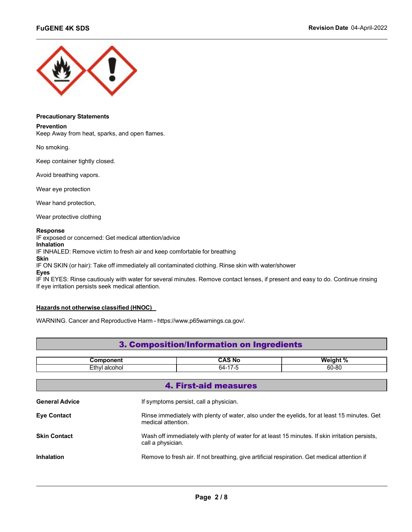

#### Precautionary Statements

#### Prevention

Keep Away from heat, sparks, and open flames.

No smoking.

Keep container tightly closed.

Avoid breathing vapors.

Wear eye protection

Wear hand protection,

Wear protective clothing

#### Response

IF exposed or concerned: Get medical attention/advice

#### Inhalation

IF INHALED: Remove victim to fresh air and keep comfortable for breathing

Skin

IF ON SKIN (or hair): Take off immediately all contaminated clothing. Rinse skin with water/shower

Eyes

IF IN EYES: Rinse cautiously with water for several minutes. Remove contact lenses, if present and easy to do. Continue rinsing If eye irritation persists seek medical attention.

#### Hazards not otherwise classified (HNOC)

WARNING. Cancer and Reproductive Harm - https://www.p65warnings.ca.gov/.

|  |  |  |  |  | 3. Composition/Information on Ingredients |
|--|--|--|--|--|-------------------------------------------|
|--|--|--|--|--|-------------------------------------------|

| Component                                                                                                                                |                                        | <b>CAS No</b>                | Weight %                                                                                        |  |
|------------------------------------------------------------------------------------------------------------------------------------------|----------------------------------------|------------------------------|-------------------------------------------------------------------------------------------------|--|
| Ethyl alcohol                                                                                                                            |                                        | 64-17-5                      | 60-80                                                                                           |  |
|                                                                                                                                          |                                        |                              |                                                                                                 |  |
|                                                                                                                                          |                                        | <b>4. First-aid measures</b> |                                                                                                 |  |
| <b>General Advice</b>                                                                                                                    | If symptoms persist, call a physician. |                              |                                                                                                 |  |
| <b>Eye Contact</b><br>Rinse immediately with plenty of water, also under the eyelids, for at least 15 minutes. Get<br>medical attention. |                                        |                              |                                                                                                 |  |
| <b>Skin Contact</b>                                                                                                                      | call a physician.                      |                              | Wash off immediately with plenty of water for at least 15 minutes. If skin irritation persists, |  |
| <b>Inhalation</b>                                                                                                                        |                                        |                              | Remove to fresh air. If not breathing, give artificial respiration. Get medical attention if    |  |
|                                                                                                                                          |                                        |                              |                                                                                                 |  |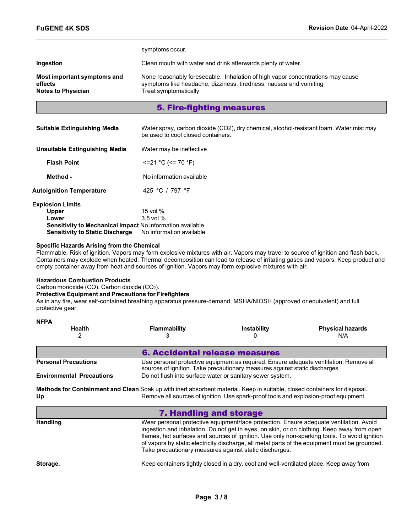| symptoms occur. |  |
|-----------------|--|
|                 |  |

| Ingestion                   | Clean mouth with water and drink afterwards plenty of water.                   |
|-----------------------------|--------------------------------------------------------------------------------|
| Most important symptoms and | None reasonably foreseeable. Inhalation of high vapor concentrations may cause |
| effects                     | symptoms like headache, dizziness, tiredness, nausea and vomiting              |
| <b>Notes to Physician</b>   | Treat symptomatically                                                          |

### 5. Fire-fighting measures

| <b>Suitable Extinguishing Media</b>                                                                 | Water spray, carbon dioxide (CO2), dry chemical, alcohol-resistant foam. Water mist may<br>be used to cool closed containers. |
|-----------------------------------------------------------------------------------------------------|-------------------------------------------------------------------------------------------------------------------------------|
| Unsuitable Extinguishing Media                                                                      | Water may be ineffective                                                                                                      |
| <b>Flash Point</b>                                                                                  | $\le$ =21 °C ( $\le$ = 70 °F)                                                                                                 |
| Method -                                                                                            | No information available                                                                                                      |
| <b>Autoignition Temperature</b>                                                                     | 425 °C / 797 °F                                                                                                               |
| <b>Explosion Limits</b><br><b>Upper</b><br>Lower                                                    | 15 vol $%$<br>$3.5$ vol %                                                                                                     |
| Sensitivity to Mechanical Impact No information available<br><b>Sensitivity to Static Discharge</b> | No information available                                                                                                      |

#### Specific Hazards Arising from the Chemical

Flammable. Risk of ignition. Vapors may form explosive mixtures with air. Vapors may travel to source of ignition and flash back. Containers may explode when heated. Thermal decomposition can lead to release of irritating gases and vapors. Keep product and empty container away from heat and sources of ignition. Vapors may form explosive mixtures with air.

#### Hazardous Combustion Products

Carbon monoxide (CO). Carbon dioxide (CO2).

Protective Equipment and Precautions for Firefighters

As in any fire, wear self-contained breathing apparatus pressure-demand, MSHA/NIOSH (approved or equivalent) and full protective gear.

| <b>NFPA</b><br><b>Health</b><br>2                                                                                                                                                                                        | <b>Flammability</b><br>3              | Instability<br>0                                                            | <b>Physical hazards</b><br>N/A                                                                                                                                                                                                                                                                                                                                                        |
|--------------------------------------------------------------------------------------------------------------------------------------------------------------------------------------------------------------------------|---------------------------------------|-----------------------------------------------------------------------------|---------------------------------------------------------------------------------------------------------------------------------------------------------------------------------------------------------------------------------------------------------------------------------------------------------------------------------------------------------------------------------------|
|                                                                                                                                                                                                                          | <b>6. Accidental release measures</b> |                                                                             |                                                                                                                                                                                                                                                                                                                                                                                       |
| <b>Personal Precautions</b>                                                                                                                                                                                              |                                       | sources of ignition. Take precautionary measures against static discharges. | Use personal protective equipment as required. Ensure adequate ventilation. Remove all                                                                                                                                                                                                                                                                                                |
| <b>Environmental Precautions</b>                                                                                                                                                                                         |                                       | Do not flush into surface water or sanitary sewer system.                   |                                                                                                                                                                                                                                                                                                                                                                                       |
| Methods for Containment and Clean Soak up with inert absorbent material. Keep in suitable, closed containers for disposal.<br>Remove all sources of ignition. Use spark-proof tools and explosion-proof equipment.<br>Up |                                       |                                                                             |                                                                                                                                                                                                                                                                                                                                                                                       |
|                                                                                                                                                                                                                          | <b>7. Handling and storage</b>        |                                                                             |                                                                                                                                                                                                                                                                                                                                                                                       |
| <b>Handling</b>                                                                                                                                                                                                          |                                       | Take precautionary measures against static discharges.                      | Wear personal protective equipment/face protection. Ensure adequate ventilation. Avoid<br>ingestion and inhalation. Do not get in eyes, on skin, or on clothing. Keep away from open<br>flames, hot surfaces and sources of ignition. Use only non-sparking tools. To avoid ignition<br>of vapors by static electricity discharge, all metal parts of the equipment must be grounded. |

Storage. **Keep containers tightly closed in a dry, cool and well-ventilated place. Keep away from**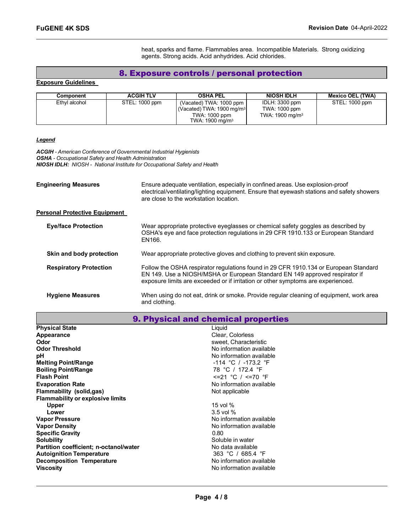heat, sparks and flame. Flammables area. Incompatible Materials. Strong oxidizing agents. Strong acids. Acid anhydrides. Acid chlorides.

## 8. Exposure controls / personal protection

#### Exposure Guidelines

| Component     | <b>ACGIH TLV</b> | <b>OSHA PEL</b>                                                                | <b>NIOSH IDLH</b>               | <b>Mexico OEL (TWA)</b> |
|---------------|------------------|--------------------------------------------------------------------------------|---------------------------------|-------------------------|
| Ethyl alcohol | STEL: 1000 ppm   | (Vacated) TWA: 1000 ppm<br>$\sqrt{\text{Vacated}}$ TWA: 1900 mg/m <sup>3</sup> | IDLH: 3300 ppm<br>TWA: 1000 ppm | STEL: 1000 ppm          |
|               |                  | TWA: 1000 ppm<br>TWA: $1900 \text{ mg/m}^3$                                    | TWA: $1900 \text{ mg/m}^3$      |                         |

#### **Legend**

ACGIH - American Conference of Governmental Industrial Hygienists OSHA - Occupational Safety and Health Administration NIOSH IDLH: NIOSH - National Institute for Occupational Safety and Health

| <b>Engineering Measures</b>          | Ensure adequate ventilation, especially in confined areas. Use explosion-proof<br>electrical/ventilating/lighting equipment. Ensure that eyewash stations and safety showers<br>are close to the workstation location.                                  |  |
|--------------------------------------|---------------------------------------------------------------------------------------------------------------------------------------------------------------------------------------------------------------------------------------------------------|--|
| <b>Personal Protective Equipment</b> |                                                                                                                                                                                                                                                         |  |
| <b>Eye/face Protection</b>           | Wear appropriate protective eyeglasses or chemical safety goggles as described by<br>OSHA's eye and face protection regulations in 29 CFR 1910.133 or European Standard<br>EN166.                                                                       |  |
| Skin and body protection             | Wear appropriate protective gloves and clothing to prevent skin exposure.                                                                                                                                                                               |  |
| <b>Respiratory Protection</b>        | Follow the OSHA respirator regulations found in 29 CFR 1910.134 or European Standard<br>EN 149. Use a NIOSH/MSHA or European Standard EN 149 approved respirator if<br>exposure limits are exceeded or if irritation or other symptoms are experienced. |  |
| <b>Hygiene Measures</b>              | When using do not eat, drink or smoke. Provide regular cleaning of equipment, work area<br>and clothing.                                                                                                                                                |  |

| 9. Physical and chemical properties     |                               |  |  |  |  |
|-----------------------------------------|-------------------------------|--|--|--|--|
| <b>Physical State</b>                   | Liquid                        |  |  |  |  |
| Appearance                              | Clear, Colorless              |  |  |  |  |
| Odor                                    | sweet, Characteristic         |  |  |  |  |
| <b>Odor Threshold</b>                   | No information available      |  |  |  |  |
| рH                                      | No information available      |  |  |  |  |
| <b>Melting Point/Range</b>              | $-114$ °C / $-173.2$ °F       |  |  |  |  |
| <b>Boiling Point/Range</b>              | 78 °C / 172.4 °F              |  |  |  |  |
| <b>Flash Point</b>                      | $\leq$ =21 °C / $\leq$ =70 °F |  |  |  |  |
| <b>Evaporation Rate</b>                 | No information available      |  |  |  |  |
| Flammability (solid,gas)                | Not applicable                |  |  |  |  |
| <b>Flammability or explosive limits</b> |                               |  |  |  |  |
| <b>Upper</b>                            | 15 vol %                      |  |  |  |  |
| Lower                                   | $3.5$ vol $%$                 |  |  |  |  |
| <b>Vapor Pressure</b>                   | No information available      |  |  |  |  |
| <b>Vapor Density</b>                    | No information available      |  |  |  |  |
| <b>Specific Gravity</b>                 | 0.80                          |  |  |  |  |
| <b>Solubility</b>                       | Soluble in water              |  |  |  |  |
| Partition coefficient; n-octanol/water  | No data available             |  |  |  |  |
| <b>Autoignition Temperature</b>         | 363 °C / 685.4 °F             |  |  |  |  |
| <b>Decomposition Temperature</b>        | No information available      |  |  |  |  |
| Viscosity                               | No information available      |  |  |  |  |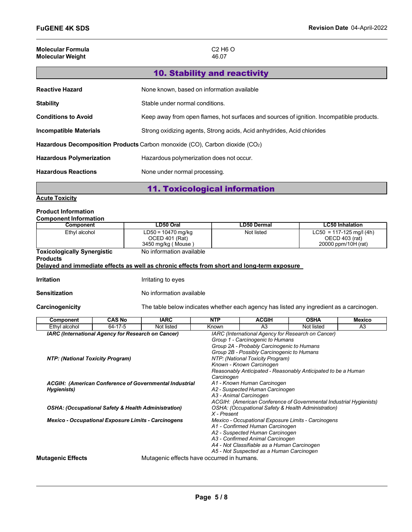| Molecular Formula       | $C2$ H <sub>6</sub> O |
|-------------------------|-----------------------|
| <b>Molecular Weight</b> | 46.07                 |

## 10. Stability and reactivity

| <b>Reactive Hazard</b>                                                      | None known, based on information available                                               |  |
|-----------------------------------------------------------------------------|------------------------------------------------------------------------------------------|--|
| <b>Stability</b>                                                            | Stable under normal conditions.                                                          |  |
| <b>Conditions to Avoid</b>                                                  | Keep away from open flames, hot surfaces and sources of ignition. Incompatible products. |  |
| <b>Incompatible Materials</b>                                               | Strong oxidizing agents, Strong acids, Acid anhydrides, Acid chlorides                   |  |
| Hazardous Decomposition Products Carbon monoxide (CO), Carbon dioxide (CO2) |                                                                                          |  |
| <b>Hazardous Polymerization</b>                                             | Hazardous polymerization does not occur.                                                 |  |
| <b>Hazardous Reactions</b>                                                  | None under normal processing.                                                            |  |

## 11. Toxicological information

#### **Acute Toxicity**

#### Product Information Component Information

| <b>UUIIIUUIIEIIIIIIUIIIIIIIIIII</b> III |                                                              |             |                                                                     |  |  |  |
|-----------------------------------------|--------------------------------------------------------------|-------------|---------------------------------------------------------------------|--|--|--|
| Component                               | LD50 Oral                                                    | LD50 Dermal | <b>LC50 Inhalation</b>                                              |  |  |  |
| Ethyl alcohol                           | $LD50 = 10470$ mg/kg<br>OCED 401 (Rat)<br>3450 mg/kg (Mouse) | Not listed  | $LC50 = 117-125$ mg/l (4h)<br>OECD 403 (rat)<br>20000 ppm/10H (rat) |  |  |  |
| <b>Toxicologically Synergistic</b>      | No information available                                     |             |                                                                     |  |  |  |
| <b>Products</b>                         |                                                              |             |                                                                     |  |  |  |

#### Delayed and immediate effects as well as chronic effects from short and long-term exposure

Irritation **Irritation** Irritating to eyes

Sensitization No information available

Carcinogenicity The table below indicates whether each agency has listed any ingredient as a carcinogen.

| Component                               | <b>CAS No</b>                                                  | <b>IARC</b> | <b>NTP</b>                                 | <b>ACGIH</b>                                        | <b>OSHA</b>                                                        | <b>Mexico</b> |  |  |  |
|-----------------------------------------|----------------------------------------------------------------|-------------|--------------------------------------------|-----------------------------------------------------|--------------------------------------------------------------------|---------------|--|--|--|
| Ethyl alcohol                           | 64-17-5                                                        | Not listed  | Known                                      | A <sub>3</sub>                                      | Not listed                                                         | A3            |  |  |  |
|                                         | <b>IARC (International Agency for Research on Cancer)</b>      |             |                                            | IARC (International Agency for Research on Cancer)  |                                                                    |               |  |  |  |
|                                         |                                                                |             |                                            | Group 1 - Carcinogenic to Humans                    |                                                                    |               |  |  |  |
|                                         |                                                                |             |                                            | Group 2A - Probably Carcinogenic to Humans          |                                                                    |               |  |  |  |
|                                         |                                                                |             |                                            | Group 2B - Possibly Carcinogenic to Humans          |                                                                    |               |  |  |  |
| <b>NTP: (National Toxicity Program)</b> |                                                                |             |                                            | NTP: (National Toxicity Program)                    |                                                                    |               |  |  |  |
|                                         |                                                                |             |                                            | Known - Known Carcinogen                            |                                                                    |               |  |  |  |
|                                         |                                                                |             |                                            |                                                     | Reasonably Anticipated - Reasonably Anticipated to be a Human      |               |  |  |  |
|                                         |                                                                |             | Carcinogen                                 |                                                     |                                                                    |               |  |  |  |
|                                         | <b>ACGIH: (American Conference of Governmental Industrial</b>  |             |                                            | A1 - Known Human Carcinogen                         |                                                                    |               |  |  |  |
| Hygienists)                             |                                                                |             |                                            | A2 - Suspected Human Carcinogen                     |                                                                    |               |  |  |  |
|                                         |                                                                |             |                                            | A3 - Animal Carcinogen                              |                                                                    |               |  |  |  |
|                                         |                                                                |             |                                            |                                                     | ACGIH: (American Conference of Governmental Industrial Hygienists) |               |  |  |  |
|                                         | <b>OSHA: (Occupational Safety &amp; Health Administration)</b> |             |                                            | OSHA: (Occupational Safety & Health Administration) |                                                                    |               |  |  |  |
|                                         |                                                                |             | X - Present                                |                                                     |                                                                    |               |  |  |  |
|                                         | <b>Mexico - Occupational Exposure Limits - Carcinogens</b>     |             |                                            | Mexico - Occupational Exposure Limits - Carcinogens |                                                                    |               |  |  |  |
|                                         |                                                                |             |                                            | A1 - Confirmed Human Carcinogen                     |                                                                    |               |  |  |  |
|                                         |                                                                |             |                                            | A2 - Suspected Human Carcinogen                     |                                                                    |               |  |  |  |
|                                         |                                                                |             |                                            | A3 - Confirmed Animal Carcinogen                    |                                                                    |               |  |  |  |
|                                         |                                                                |             |                                            | A4 - Not Classifiable as a Human Carcinogen         |                                                                    |               |  |  |  |
|                                         |                                                                |             |                                            | A5 - Not Suspected as a Human Carcinogen            |                                                                    |               |  |  |  |
| <b>Mutagenic Effects</b>                |                                                                |             | Mutagenic effects have occurred in humans. |                                                     |                                                                    |               |  |  |  |
|                                         |                                                                |             |                                            |                                                     |                                                                    |               |  |  |  |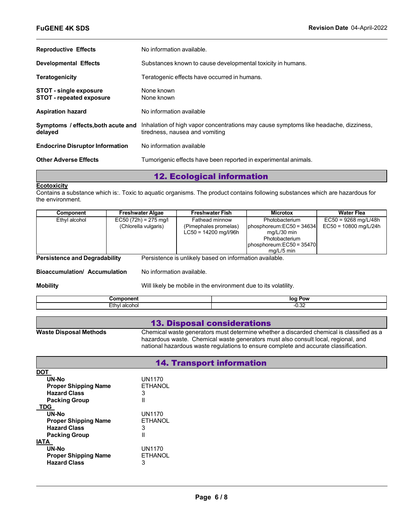| <b>Reproductive Effects</b>                                      | No information available.                                                                                              |
|------------------------------------------------------------------|------------------------------------------------------------------------------------------------------------------------|
| <b>Developmental Effects</b>                                     | Substances known to cause developmental toxicity in humans.                                                            |
| <b>Teratogenicity</b>                                            | Teratogenic effects have occurred in humans.                                                                           |
| <b>STOT - single exposure</b><br><b>STOT - repeated exposure</b> | None known<br>None known                                                                                               |
| <b>Aspiration hazard</b>                                         | No information available                                                                                               |
|                                                                  |                                                                                                                        |
| Symptoms / effects, both acute and<br>delayed                    | Inhalation of high vapor concentrations may cause symptoms like headache, dizziness,<br>tiredness, nausea and vomiting |
| <b>Endocrine Disruptor Information</b>                           | No information available                                                                                               |

12. Ecological information

#### **Ecotoxicity**

Contains a substance which is:. Toxic to aquatic organisms. The product contains following substances which are hazardous for the environment.

| Component                            | <b>Freshwater Algae</b>                         | <b>Freshwater Fish</b>                                             | <b>Microtox</b>                                                                                                              | <b>Water Flea</b>                                 |
|--------------------------------------|-------------------------------------------------|--------------------------------------------------------------------|------------------------------------------------------------------------------------------------------------------------------|---------------------------------------------------|
| Ethyl alcohol                        | $EC50 (72h) = 275$ mg/l<br>(Chlorella vulgaris) | Fathead minnow<br>(Pimephales promelas)<br>$LC50 = 14200$ mg/l/96h | Photobacterium<br>$[phosphoreum:EC50 = 34634]$<br>mg/L/30 min<br>Photobacterium<br>$phosphoreum: EC50 = 35470$<br>mg/L/5 min | $EC50 = 9268$ mg/L/48h<br>$EC50 = 10800$ mg/L/24h |
| <b>Persistence and Degradability</b> |                                                 | Persistence is unlikely based on information available.            |                                                                                                                              |                                                   |

Bioaccumulation/ Accumulation No information available.

Mobility Mobility Mobility Will likely be mobile in the environment due to its volatility.

| ---------<br>Component | lor<br>Pow |
|------------------------|------------|
| Ethyl                  | ے ،        |
| ' alcohol              | ےں.∪۔      |

### 13. Disposal considerations

Waste Disposal Methods **Chemical waste generators must determine whether a discarded chemical is classified as a** hazardous waste. Chemical waste generators must also consult local, regional, and national hazardous waste regulations to ensure complete and accurate classification.

| <b>14. Transport information</b> |                |  |  |  |  |  |
|----------------------------------|----------------|--|--|--|--|--|
| <b>DOT</b>                       |                |  |  |  |  |  |
| UN-No                            | UN1170         |  |  |  |  |  |
| <b>Proper Shipping Name</b>      | <b>ETHANOL</b> |  |  |  |  |  |
| <b>Hazard Class</b>              | 3              |  |  |  |  |  |
| <b>Packing Group</b>             | $\mathsf{I}$   |  |  |  |  |  |
| <b>TDG</b>                       |                |  |  |  |  |  |
| <b>UN-No</b>                     | UN1170         |  |  |  |  |  |
| <b>Proper Shipping Name</b>      | <b>ETHANOL</b> |  |  |  |  |  |
| <b>Hazard Class</b>              | 3              |  |  |  |  |  |
| <b>Packing Group</b>             | $\mathsf{II}$  |  |  |  |  |  |
| <b>IATA</b>                      |                |  |  |  |  |  |
| UN-No                            | UN1170         |  |  |  |  |  |
| <b>Proper Shipping Name</b>      | <b>ETHANOL</b> |  |  |  |  |  |
| <b>Hazard Class</b>              | 3              |  |  |  |  |  |
|                                  |                |  |  |  |  |  |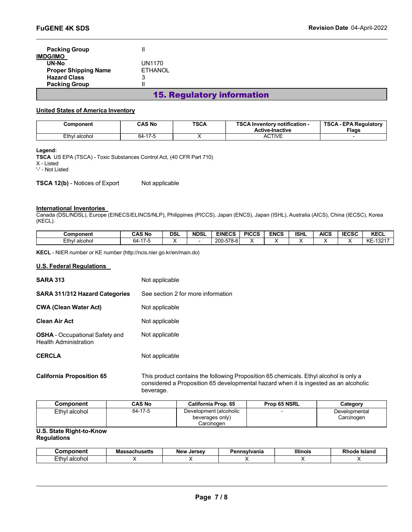| <b>Packing Group</b>        | Ш              |
|-----------------------------|----------------|
| <b>Hazard Class</b>         | 3              |
| <b>Proper Shipping Name</b> | <b>FTHANOL</b> |
| UN-No                       | UN1170         |
| <b>IMDG/IMO</b>             |                |
| <b>Packing Group</b>        |                |
|                             |                |

## 15. Regulatory information

#### United States of America Inventory

| Component          | CAS No<br>_____  | <b>TSCA</b> | ᅚᅂᅀᄮ<br>. Inventory notification -<br><b>Active-Inactive</b> | <b>TSCA</b><br><b>EPA Requiatory</b><br><b>Flags</b> |
|--------------------|------------------|-------------|--------------------------------------------------------------|------------------------------------------------------|
| Ethyl<br>l alcohol | ີ 4<br>- 64<br>. |             | ACTIVE                                                       |                                                      |

#### Legend:

TSCA US EPA (TSCA) - Toxic Substances Control Act, (40 CFR Part 710) X - Listed '-' - Not Listed

TSCA 12(b) - Notices of Export Not applicable

#### International Inventories

Canada (DSL/NDSL), Europe (EINECS/ELINCS/NLP), Philippines (PICCS), Japan (ENCS), Japan (ISHL), Australia (AICS), China (IECSC), Korea (KECL).

| Component        | <b>CAS No</b>                       | <b>DSL</b> | <b>NDSL</b> | <b>TINECC</b><br>. J. J | <b>PICCS</b> | <b>ENCS</b><br>ᄗ៴ | <b>ISHL</b> | <b>AICS</b> | <b>IECSC</b> | <b>KECL</b>                 |
|------------------|-------------------------------------|------------|-------------|-------------------------|--------------|-------------------|-------------|-------------|--------------|-----------------------------|
| Ethyl<br>alcohol | $\overline{\phantom{a}}$<br>$5/1 -$ |            |             | 200-578-6               |              |                   |             |             |              | KE<br>$-1321$ <sup>-1</sup> |

KECL - NIER number or KE number (http://ncis.nier.go.kr/en/main.do)

#### U.S. Federal Regulations

| <b>SARA 313</b>                                                       | Not applicable                     |
|-----------------------------------------------------------------------|------------------------------------|
| <b>SARA 311/312 Hazard Categories</b>                                 | See section 2 for more information |
| <b>CWA (Clean Water Act)</b>                                          | Not applicable                     |
| <b>Clean Air Act</b>                                                  | Not applicable                     |
| <b>OSHA</b> - Occupational Safety and<br><b>Health Administration</b> | Not applicable                     |
| <b>CERCLA</b>                                                         | Not applicable                     |

California Proposition 65 This product contains the following Proposition 65 chemicals. Ethyl alcohol is only a considered a Proposition 65 developmental hazard when it is ingested as an alcoholic beverage.

| Component                  | <b>CAS No</b> | California Prop. 65                                     | <b>Prop 65 NSRL</b> | Categorv                    |
|----------------------------|---------------|---------------------------------------------------------|---------------------|-----------------------------|
| Ethyl alcohol              | 64-17-5       | Development (alcoholic<br>beverages only)<br>Carcinoɑen |                     | Developmental<br>Carcinogen |
| $\cdots$ $\cdots$ $\cdots$ |               |                                                         |                     |                             |

## U.S. State Right-to-Know

#### **Regulations**

| <b>Component</b>   | . .<br>Massachusetts | Jersev<br><b>New</b> | Pennsylvania | <b>Illinois</b> | <b>Rhode Island</b> |
|--------------------|----------------------|----------------------|--------------|-----------------|---------------------|
| Eth۱<br>alcoho<br> |                      |                      |              |                 |                     |